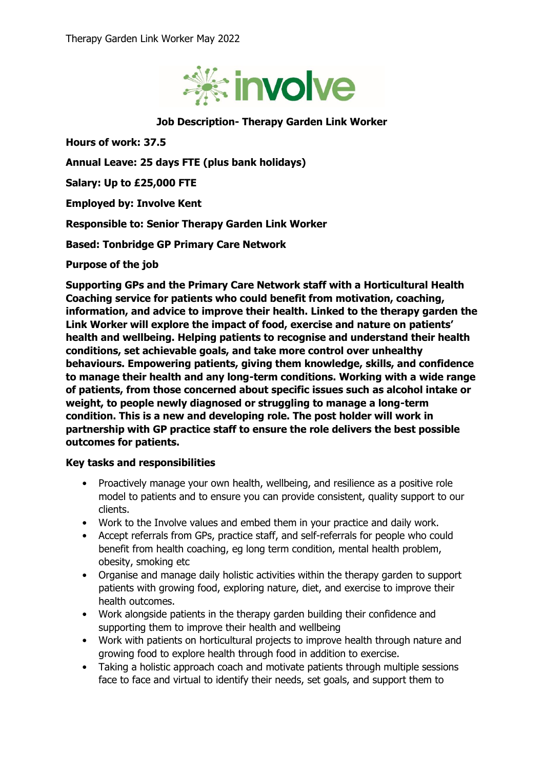

## **Job Description- Therapy Garden Link Worker**

**Hours of work: 37.5**

**Annual Leave: 25 days FTE (plus bank holidays)**

**Salary: Up to £25,000 FTE** 

**Employed by: Involve Kent**

**Responsible to: Senior Therapy Garden Link Worker**

**Based: Tonbridge GP Primary Care Network**

**Purpose of the job**

**Supporting GPs and the Primary Care Network staff with a Horticultural Health Coaching service for patients who could benefit from motivation, coaching, information, and advice to improve their health. Linked to the therapy garden the Link Worker will explore the impact of food, exercise and nature on patients' health and wellbeing. Helping patients to recognise and understand their health conditions, set achievable goals, and take more control over unhealthy behaviours. Empowering patients, giving them knowledge, skills, and confidence to manage their health and any long-term conditions. Working with a wide range of patients, from those concerned about specific issues such as alcohol intake or weight, to people newly diagnosed or struggling to manage a long-term condition. This is a new and developing role. The post holder will work in partnership with GP practice staff to ensure the role delivers the best possible outcomes for patients.**

## **Key tasks and responsibilities**

- Proactively manage your own health, wellbeing, and resilience as a positive role model to patients and to ensure you can provide consistent, quality support to our clients.
- Work to the Involve values and embed them in your practice and daily work.
- Accept referrals from GPs, practice staff, and self-referrals for people who could benefit from health coaching, eg long term condition, mental health problem, obesity, smoking etc
- Organise and manage daily holistic activities within the therapy garden to support patients with growing food, exploring nature, diet, and exercise to improve their health outcomes.
- Work alongside patients in the therapy garden building their confidence and supporting them to improve their health and wellbeing
- Work with patients on horticultural projects to improve health through nature and growing food to explore health through food in addition to exercise.
- Taking a holistic approach coach and motivate patients through multiple sessions face to face and virtual to identify their needs, set goals, and support them to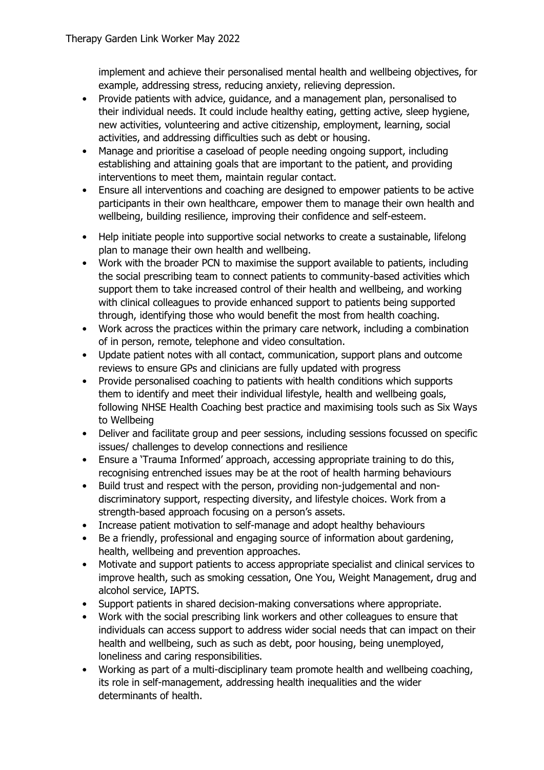implement and achieve their personalised mental health and wellbeing objectives, for example, addressing stress, reducing anxiety, relieving depression.

- Provide patients with advice, guidance, and a management plan, personalised to their individual needs. It could include healthy eating, getting active, sleep hygiene, new activities, volunteering and active citizenship, employment, learning, social activities, and addressing difficulties such as debt or housing.
- Manage and prioritise a caseload of people needing ongoing support, including establishing and attaining goals that are important to the patient, and providing interventions to meet them, maintain regular contact.
- Ensure all interventions and coaching are designed to empower patients to be active participants in their own healthcare, empower them to manage their own health and wellbeing, building resilience, improving their confidence and self-esteem.
- Help initiate people into supportive social networks to create a sustainable, lifelong plan to manage their own health and wellbeing.
- Work with the broader PCN to maximise the support available to patients, including the social prescribing team to connect patients to community-based activities which support them to take increased control of their health and wellbeing, and working with clinical colleagues to provide enhanced support to patients being supported through, identifying those who would benefit the most from health coaching.
- Work across the practices within the primary care network, including a combination of in person, remote, telephone and video consultation.
- Update patient notes with all contact, communication, support plans and outcome reviews to ensure GPs and clinicians are fully updated with progress
- Provide personalised coaching to patients with health conditions which supports them to identify and meet their individual lifestyle, health and wellbeing goals, following NHSE Health Coaching best practice and maximising tools such as Six Ways to Wellbeing
- Deliver and facilitate group and peer sessions, including sessions focussed on specific issues/ challenges to develop connections and resilience
- Ensure a 'Trauma Informed' approach, accessing appropriate training to do this, recognising entrenched issues may be at the root of health harming behaviours
- Build trust and respect with the person, providing non-judgemental and nondiscriminatory support, respecting diversity, and lifestyle choices. Work from a strength-based approach focusing on a person's assets.
- Increase patient motivation to self-manage and adopt healthy behaviours
- Be a friendly, professional and engaging source of information about gardening, health, wellbeing and prevention approaches.
- Motivate and support patients to access appropriate specialist and clinical services to improve health, such as smoking cessation, One You, Weight Management, drug and alcohol service, IAPTS.
- Support patients in shared decision-making conversations where appropriate.
- Work with the social prescribing link workers and other colleagues to ensure that individuals can access support to address wider social needs that can impact on their health and wellbeing, such as such as debt, poor housing, being unemployed, loneliness and caring responsibilities.
- Working as part of a multi-disciplinary team promote health and wellbeing coaching, its role in self-management, addressing health inequalities and the wider determinants of health.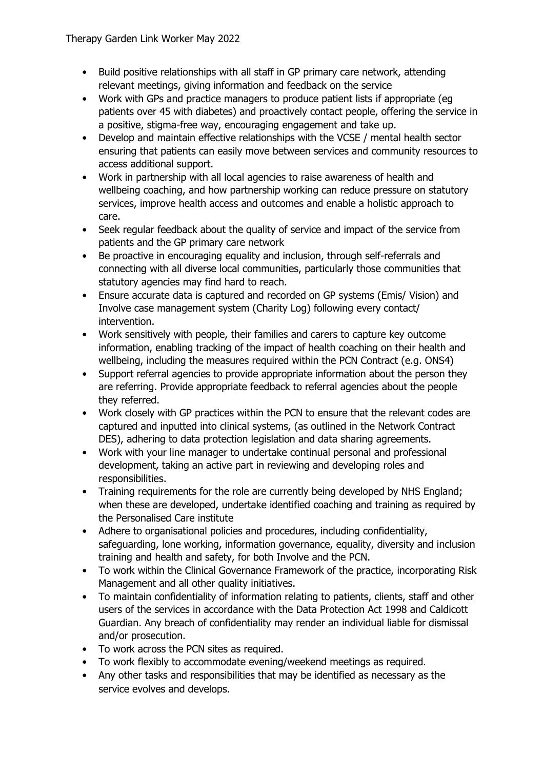- Build positive relationships with all staff in GP primary care network, attending relevant meetings, giving information and feedback on the service
- Work with GPs and practice managers to produce patient lists if appropriate (eg patients over 45 with diabetes) and proactively contact people, offering the service in a positive, stigma-free way, encouraging engagement and take up.
- Develop and maintain effective relationships with the VCSE / mental health sector ensuring that patients can easily move between services and community resources to access additional support.
- Work in partnership with all local agencies to raise awareness of health and wellbeing coaching, and how partnership working can reduce pressure on statutory services, improve health access and outcomes and enable a holistic approach to care.
- Seek regular feedback about the quality of service and impact of the service from patients and the GP primary care network
- Be proactive in encouraging equality and inclusion, through self-referrals and connecting with all diverse local communities, particularly those communities that statutory agencies may find hard to reach.
- Ensure accurate data is captured and recorded on GP systems (Emis/ Vision) and Involve case management system (Charity Log) following every contact/ intervention.
- Work sensitively with people, their families and carers to capture key outcome information, enabling tracking of the impact of health coaching on their health and wellbeing, including the measures required within the PCN Contract (e.g. ONS4)
- Support referral agencies to provide appropriate information about the person they are referring. Provide appropriate feedback to referral agencies about the people they referred.
- Work closely with GP practices within the PCN to ensure that the relevant codes are captured and inputted into clinical systems, (as outlined in the Network Contract DES), adhering to data protection legislation and data sharing agreements.
- Work with your line manager to undertake continual personal and professional development, taking an active part in reviewing and developing roles and responsibilities.
- Training requirements for the role are currently being developed by NHS England; when these are developed, undertake identified coaching and training as required by the Personalised Care institute
- Adhere to organisational policies and procedures, including confidentiality, safeguarding, lone working, information governance, equality, diversity and inclusion training and health and safety, for both Involve and the PCN.
- To work within the Clinical Governance Framework of the practice, incorporating Risk Management and all other quality initiatives.
- To maintain confidentiality of information relating to patients, clients, staff and other users of the services in accordance with the Data Protection Act 1998 and Caldicott Guardian. Any breach of confidentiality may render an individual liable for dismissal and/or prosecution.
- To work across the PCN sites as required.
- To work flexibly to accommodate evening/weekend meetings as required.
- Any other tasks and responsibilities that may be identified as necessary as the service evolves and develops.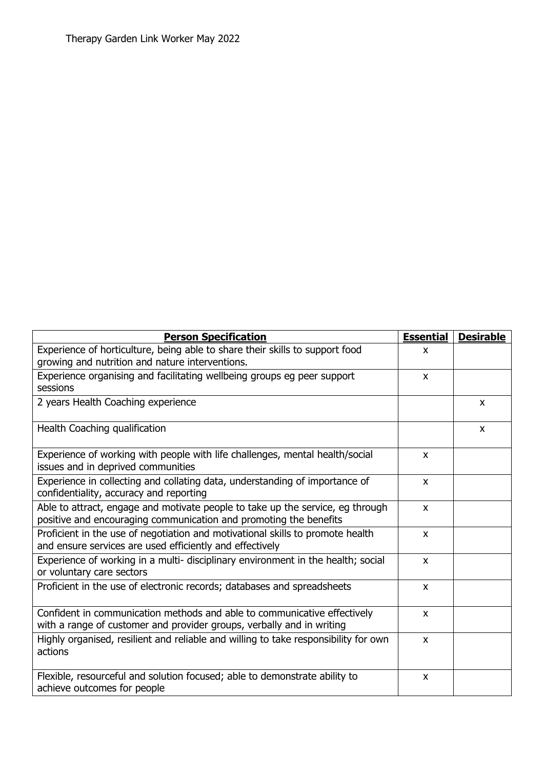| <b>Person Specification</b>                                                                                                                         | <b>Essential</b> | <b>Desirable</b> |
|-----------------------------------------------------------------------------------------------------------------------------------------------------|------------------|------------------|
| Experience of horticulture, being able to share their skills to support food<br>growing and nutrition and nature interventions.                     | X                |                  |
| Experience organising and facilitating wellbeing groups eg peer support<br>sessions                                                                 | $\mathsf{x}$     |                  |
| 2 years Health Coaching experience                                                                                                                  |                  | X                |
| Health Coaching qualification                                                                                                                       |                  | X                |
| Experience of working with people with life challenges, mental health/social<br>issues and in deprived communities                                  | $\mathsf{x}$     |                  |
| Experience in collecting and collating data, understanding of importance of<br>confidentiality, accuracy and reporting                              | $\mathsf{x}$     |                  |
| Able to attract, engage and motivate people to take up the service, eg through<br>positive and encouraging communication and promoting the benefits | X                |                  |
| Proficient in the use of negotiation and motivational skills to promote health<br>and ensure services are used efficiently and effectively          | $\mathsf{x}$     |                  |
| Experience of working in a multi- disciplinary environment in the health; social<br>or voluntary care sectors                                       | $\mathsf{x}$     |                  |
| Proficient in the use of electronic records; databases and spreadsheets                                                                             | $\mathsf{x}$     |                  |
| Confident in communication methods and able to communicative effectively<br>with a range of customer and provider groups, verbally and in writing   | $\mathsf{x}$     |                  |
| Highly organised, resilient and reliable and willing to take responsibility for own<br>actions                                                      | X                |                  |
| Flexible, resourceful and solution focused; able to demonstrate ability to<br>achieve outcomes for people                                           | $\pmb{\times}$   |                  |